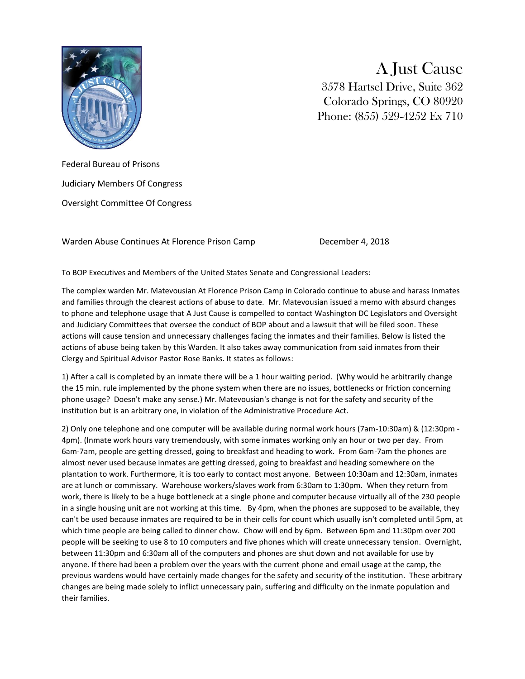

A Just Cause 3578 Hartsel Drive, Suite 362 Colorado Springs, CO 80920 Phone: (855) 529-4252 Ex 710

Federal Bureau of Prisons Judiciary Members Of Congress Oversight Committee Of Congress

Warden Abuse Continues At Florence Prison Camp December 4, 2018

To BOP Executives and Members of the United States Senate and Congressional Leaders:

The complex warden Mr. Matevousian At Florence Prison Camp in Colorado continue to abuse and harass Inmates and families through the clearest actions of abuse to date. Mr. Matevousian issued a memo with absurd changes to phone and telephone usage that A Just Cause is compelled to contact Washington DC Legislators and Oversight and Judiciary Committees that oversee the conduct of BOP about and a lawsuit that will be filed soon. These actions will cause tension and unnecessary challenges facing the inmates and their families. Below is listed the actions of abuse being taken by this Warden. It also takes away communication from said inmates from their Clergy and Spiritual Advisor Pastor Rose Banks. It states as follows:

1) After a call is completed by an inmate there will be a 1 hour waiting period. (Why would he arbitrarily change the 15 min. rule implemented by the phone system when there are no issues, bottlenecks or friction concerning phone usage? Doesn't make any sense.) Mr. Matevousian's change is not for the safety and security of the institution but is an arbitrary one, in violation of the Administrative Procedure Act.

2) Only one telephone and one computer will be available during normal work hours (7am-10:30am) & (12:30pm - 4pm). (Inmate work hours vary tremendously, with some inmates working only an hour or two per day. From 6am-7am, people are getting dressed, going to breakfast and heading to work. From 6am-7am the phones are almost never used because inmates are getting dressed, going to breakfast and heading somewhere on the plantation to work. Furthermore, it is too early to contact most anyone. Between 10:30am and 12:30am, inmates are at lunch or commissary. Warehouse workers/slaves work from 6:30am to 1:30pm. When they return from work, there is likely to be a huge bottleneck at a single phone and computer because virtually all of the 230 people in a single housing unit are not working at this time. By 4pm, when the phones are supposed to be available, they can't be used because inmates are required to be in their cells for count which usually isn't completed until 5pm, at which time people are being called to dinner chow. Chow will end by 6pm. Between 6pm and 11:30pm over 200 people will be seeking to use 8 to 10 computers and five phones which will create unnecessary tension. Overnight, between 11:30pm and 6:30am all of the computers and phones are shut down and not available for use by anyone. If there had been a problem over the years with the current phone and email usage at the camp, the previous wardens would have certainly made changes for the safety and security of the institution. These arbitrary changes are being made solely to inflict unnecessary pain, suffering and difficulty on the inmate population and their families.